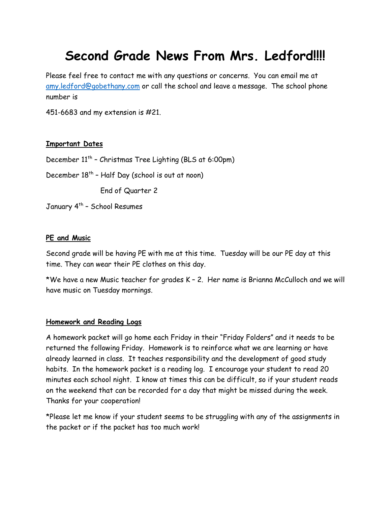# **Second Grade News From Mrs. Ledford!!!!**

Please feel free to contact me with any questions or concerns. You can email me at [amy.ledford@gobethany.com](mailto:amy.ledford@gobethany.com) or call the school and leave a message. The school phone number is

451-6683 and my extension is #21.

## **Important Dates**

December 11th – Christmas Tree Lighting (BLS at 6:00pm)

December  $18<sup>th</sup>$  - Half Day (school is out at noon)

End of Quarter 2

January 4<sup>th</sup> - School Resumes

### **PE and Music**

Second grade will be having PE with me at this time. Tuesday will be our PE day at this time. They can wear their PE clothes on this day.

\*We have a new Music teacher for grades K – 2. Her name is Brianna McCulloch and we will have music on Tuesday mornings.

#### **Homework and Reading Logs**

A homework packet will go home each Friday in their "Friday Folders" and it needs to be returned the following Friday. Homework is to reinforce what we are learning or have already learned in class. It teaches responsibility and the development of good study habits. In the homework packet is a reading log. I encourage your student to read 20 minutes each school night. I know at times this can be difficult, so if your student reads on the weekend that can be recorded for a day that might be missed during the week. Thanks for your cooperation!

\*Please let me know if your student seems to be struggling with any of the assignments in the packet or if the packet has too much work!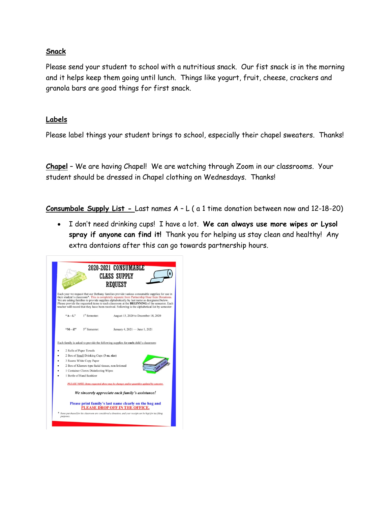## **Snack**

Please send your student to school with a nutritious snack. Our fist snack is in the morning and it helps keep them going until lunch. Things like yogurt, fruit, cheese, crackers and granola bars are good things for first snack.

## **Labels**

Please label things your student brings to school, especially their chapel sweaters. Thanks!

**Chapel** – We are having Chapel! We are watching through Zoom in our classrooms. Your student should be dressed in Chapel clothing on Wednesdays. Thanks!

**Consumbale Supply List -** Last names A – L ( a 1 time donation between now and 12-18-20)

• I don't need drinking cups! I have a lot. **We can always use more wipes or Lysol spray if anyone can find it!** Thank you for helping us stay clean and healthy! Any extra dontaions after this can go towards partnership hours.